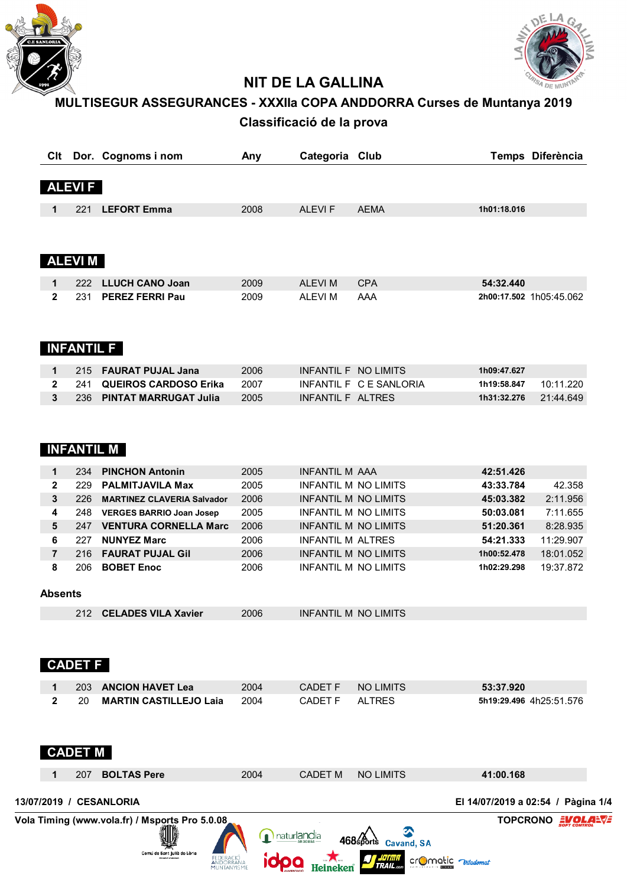



# **NIT DE LA GALLINA**

# **MULTISEGUR ASSEGURANCES - XXXIIa COPA ANDDORRA Curses de Muntanya 2019 Classificació de la prova**

|                |                   | Clt Dor. Cognoms i nom                                       | Any          | Categoria Club                                      |                         | Temps Diferència                   |
|----------------|-------------------|--------------------------------------------------------------|--------------|-----------------------------------------------------|-------------------------|------------------------------------|
|                | <b>ALEVIF</b>     |                                                              |              |                                                     |                         |                                    |
| 1              | 221               | <b>LEFORT Emma</b>                                           | 2008         | <b>ALEVIF</b>                                       | <b>AEMA</b>             | 1h01:18.016                        |
|                |                   |                                                              |              |                                                     |                         |                                    |
|                | <b>ALEVIM</b>     |                                                              |              |                                                     |                         |                                    |
| 1              | 222               | <b>LLUCH CANO Joan</b>                                       | 2009         | <b>ALEVIM</b>                                       | <b>CPA</b>              | 54:32.440                          |
| $\mathbf{2}$   | 231               | <b>PEREZ FERRI Pau</b>                                       | 2009         | <b>ALEVIM</b>                                       | AAA                     | 2h00:17.502 1h05:45.062            |
|                | <b>INFANTIL F</b> |                                                              |              |                                                     |                         |                                    |
| 1              | 215               | <b>FAURAT PUJAL Jana</b>                                     | 2006         | INFANTIL F NO LIMITS                                |                         | 1h09:47.627                        |
| $\overline{2}$ | 241               | <b>QUEIROS CARDOSO Erika</b>                                 | 2007         |                                                     | INFANTIL F C E SANLORIA | 10:11.220<br>1h19:58.847           |
| 3              | 236               | <b>PINTAT MARRUGAT Julia</b>                                 | 2005         | INFANTIL F ALTRES                                   |                         | 21:44.649<br>1h31:32.276           |
|                |                   | <b>INFANTIL M</b>                                            |              |                                                     |                         |                                    |
| 1              | 234               | <b>PINCHON Antonin</b>                                       | 2005         | <b>INFANTIL M AAA</b>                               |                         | 42:51.426                          |
| $\overline{2}$ | 229               | <b>PALMITJAVILA Max</b>                                      | 2005         | <b>INFANTIL M NO LIMITS</b>                         |                         | 42.358<br>43:33.784                |
| 3              | 226               | <b>MARTINEZ CLAVERIA Salvador</b>                            | 2006<br>2005 | INFANTIL M NO LIMITS                                |                         | 2:11.956<br>45:03.382<br>7:11.655  |
| 4<br>5         | 248               | <b>VERGES BARRIO Joan Josep</b><br>247 VENTURA CORNELLA Marc | 2006         | INFANTIL M NO LIMITS<br><b>INFANTIL M NO LIMITS</b> |                         | 50:03.081<br>8:28.935<br>51:20.361 |
| 6              | 227               | <b>NUNYEZ Marc</b>                                           | 2006         | <b>INFANTIL M ALTRES</b>                            |                         | 11:29.907<br>54:21.333             |
| $\overline{7}$ | 216               | <b>FAURAT PUJAL Gil</b>                                      | 2006         | <b>INFANTIL M NO LIMITS</b>                         |                         | 18:01.052<br>1h00:52.478           |
| 8              | 206               | <b>BOBET Enoc</b>                                            | 2006         | INFANTIL M NO LIMITS                                |                         | 19:37.872<br>1h02:29.298           |
| <b>Absents</b> |                   |                                                              |              |                                                     |                         |                                    |
|                | 212               | <b>CELADES VILA Xavier</b>                                   | 2006         | INFANTIL M NO LIMITS                                |                         |                                    |
|                | <b>CADET F</b>    |                                                              |              |                                                     |                         |                                    |
| 1              | 203               | <b>ANCION HAVET Lea</b>                                      | 2004         | <b>CADET F</b>                                      | <b>NO LIMITS</b>        | 53:37.920                          |
| $\mathbf{2}$   | 20                | <b>MARTIN CASTILLEJO Laia</b>                                | 2004         | <b>CADET F</b>                                      | <b>ALTRES</b>           | 5h19:29.496 4h25:51.576            |
|                | <b>CADET M</b>    |                                                              |              |                                                     |                         |                                    |
|                | 207               | <b>BOLTAS Pere</b>                                           | 2004         | <b>CADET M</b>                                      | <b>NO LIMITS</b>        | 41:00.168                          |
|                |                   | 13/07/2019 / CESANLORIA                                      |              |                                                     |                         | El 14/07/2019 a 02:54 / Pàgina 1/4 |
|                |                   | Vola Timing (www.vola.fr) / Msports Pro 5.0.08,              |              |                                                     |                         | <b>TOPCRONO EVOL</b>               |
|                |                   |                                                              |              | naturlandia                                         |                         |                                    |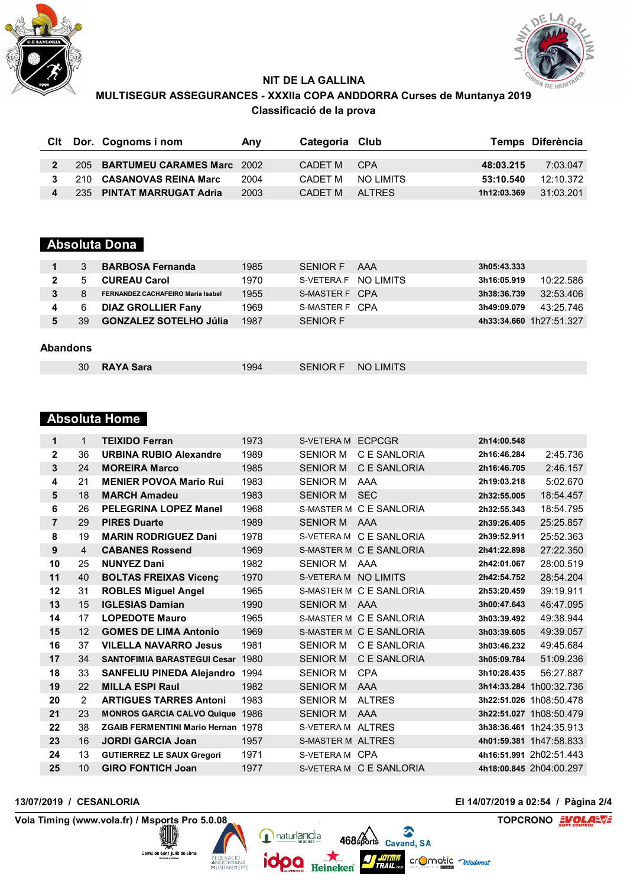



# **NIT DE LA GALLINA MULTISEGUR ASSEGURANCES - XXXIIa COPA ANDDORRA Curses de Muntanya 2019 Classificació de la prova**

|              | Cit Dor. Cognoms i nom         | Anv  | Categoria Club |                   |             | Temps Diferència |
|--------------|--------------------------------|------|----------------|-------------------|-------------|------------------|
|              |                                |      |                |                   |             |                  |
| $\mathbf{p}$ | 205 BARTUMEU CARAMES Marc 2002 |      | CADET M        | CPA               | 48:03.215   | 7:03.047         |
| $\mathbf{3}$ | 210 CASANOVAS REINA Marc       | 2004 |                | CADET M NO LIMITS | 53:10.540   | 12:10.372        |
|              | 235 PINTAT MARRUGAT Adria      | 2003 | CADFT M        | AI TRES           | 1h12:03.369 | 31:03.201        |

# **Absoluta Dona**

|   |    | <b>BARBOSA Fernanda</b>                  | 1985 | <b>SENIOR F</b>       | AAA | 3h05:43.333 |                         |
|---|----|------------------------------------------|------|-----------------------|-----|-------------|-------------------------|
|   |    | <b>CUREAU Carol</b>                      | 1970 | S-VETERA F NO I IMITS |     | 3h16:05.919 | 10:22.586               |
| 3 |    | <b>FERNANDEZ CACHAFEIRO Maria Isabel</b> | 1955 | S-MASTER F CPA        |     | 3h38:36.739 | 32:53.406               |
|   |    | <b>DIAZ GROLLIER Fany</b>                | 1969 | S-MASTER F CPA        |     | 3h49:09.079 | 43:25.746               |
|   | 39 | <b>GONZALEZ SOTELHO Júlia</b>            | 1987 | <b>SENIOR F</b>       |     |             | 4h33:34.660 1h27:51.327 |
|   |    |                                          |      |                       |     |             |                         |

### **Abandons**

| SENIOR F NO LIMITS<br>30 RAYA Sara<br>1994 |  |
|--------------------------------------------|--|
|--------------------------------------------|--|

## **Absoluta Home**

| $\mathbf 1$    | 1              | <b>TEIXIDO Ferran</b>                     | 1973 | S-VETERA M ECPCGR        |                         | 2h14:00.548 |                         |
|----------------|----------------|-------------------------------------------|------|--------------------------|-------------------------|-------------|-------------------------|
| $\mathbf{2}$   | 36             | <b>URBINA RUBIO Alexandre</b>             | 1989 | <b>SENIOR M</b>          | C E SANLORIA            | 2h16:46.284 | 2:45.736                |
| 3              | 24             | <b>MOREIRA Marco</b>                      | 1985 | <b>SENIOR M</b>          | C E SANLORIA            | 2h16:46.705 | 2:46.157                |
| 4              | 21             | <b>MENIER POVOA Mario Rui</b>             | 1983 | <b>SENIOR M</b>          | AAA                     | 2h19:03.218 | 5:02.670                |
| 5              | 18             | <b>MARCH Amadeu</b>                       | 1983 | <b>SENIOR M</b>          | <b>SEC</b>              | 2h32:55.005 | 18:54.457               |
| 6              | 26             | PELEGRINA LOPEZ Manel                     | 1968 |                          | S-MASTER M C E SANLORIA | 2h32:55.343 | 18:54.795               |
| $\overline{7}$ | 29             | <b>PIRES Duarte</b>                       | 1989 | <b>SENIOR M</b>          | AAA                     | 2h39:26.405 | 25:25.857               |
| 8              | 19             | <b>MARIN RODRIGUEZ Dani</b>               | 1978 |                          | S-VETERAM C E SANLORIA  | 2h39:52.911 | 25:52.363               |
| 9              | $\overline{4}$ | <b>CABANES Rossend</b>                    | 1969 |                          | S-MASTER M C E SANLORIA | 2h41:22.898 | 27:22.350               |
| 10             | 25             | <b>NUNYEZ Dani</b>                        | 1982 | <b>SENIOR M</b>          | AAA                     | 2h42:01.067 | 28:00.519               |
| 11             | 40             | <b>BOLTAS FREIXAS Vicenç</b>              | 1970 | S-VETERA M NO LIMITS     |                         | 2h42:54.752 | 28:54.204               |
| 12             | 31             | <b>ROBLES Miguel Angel</b>                | 1965 |                          | S-MASTER M C E SANLORIA | 2h53:20.459 | 39:19.911               |
| 13             | 15             | <b>IGLESIAS Damian</b>                    | 1990 | SENIOR M AAA             |                         | 3h00:47.643 | 46:47.095               |
| 14             | 17             | <b>LOPEDOTE Mauro</b>                     | 1965 |                          | S-MASTER M C E SANLORIA | 3h03:39.492 | 49:38.944               |
| 15             | 12             | <b>GOMES DE LIMA Antonio</b>              | 1969 |                          | S-MASTER M C E SANLORIA | 3h03:39.605 | 49:39.057               |
| 16             | 37             | <b>VILELLA NAVARRO Jesus</b>              | 1981 | <b>SENIOR M</b>          | C E SANLORIA            | 3h03:46.232 | 49:45.684               |
| 17             | 34             | <b>SANTOFIMIA BARASTEGUI Cesar</b>        | 1980 | <b>SENIOR M</b>          | C E SANLORIA            | 3h05:09.784 | 51:09.236               |
| 18             | 33             | <b>SANFELIU PINEDA Alejandro</b>          | 1994 | <b>SENIOR M</b>          | <b>CPA</b>              | 3h10:28.435 | 56:27.887               |
| 19             | 22             | <b>MILLA ESPI Raul</b>                    | 1982 | <b>SENIOR M</b>          | AAA                     |             | 3h14:33.284 1h00:32.736 |
| 20             | $\mathcal{P}$  | <b>ARTIGUES TARRES Antoni</b>             | 1983 | <b>SENIOR M</b>          | <b>ALTRES</b>           |             | 3h22:51.026 1h08:50.478 |
| 21             | 23             | <b>MONROS GARCIA CALVO Quique</b>         | 1986 | <b>SENIOR M</b>          | AAA                     |             | 3h22:51.027 1h08:50.479 |
| 22             | 38             | <b>ZGAIB FERMENTINI Mario Hernan 1978</b> |      | S-VETERA M ALTRES        |                         |             | 3h38:36.461 1h24:35.913 |
| 23             | 16             | <b>JORDI GARCIA Joan</b>                  | 1957 | <b>S-MASTER M ALTRES</b> |                         |             | 4h01:59.381 1h47:58.833 |
| 24             | 13             | <b>GUTIERREZ LE SAUX Gregori</b>          | 1971 | S-VETERA M CPA           |                         |             | 4h16:51.991 2h02:51.443 |
| 25             | 10             | <b>GIRO FONTICH Joan</b>                  | 1977 |                          | S-VETERAM C E SANLORIA  |             | 4h18:00.845 2h04:00.297 |

naturlandia

ìО

468 sports Cavand, SA

crOmatic  $\neg$ 

Heineken Trail.com

**Vola Timing (www.vola.fr) / Msports Pro 5.0.08 <b>COLORED TOPCRONO** 

Comú de Sant Julii

AN<sub>I</sub>

**13/07/2019 / CESANLORIA El 14/07/2019 a 02:54 / Pàgina 2/4**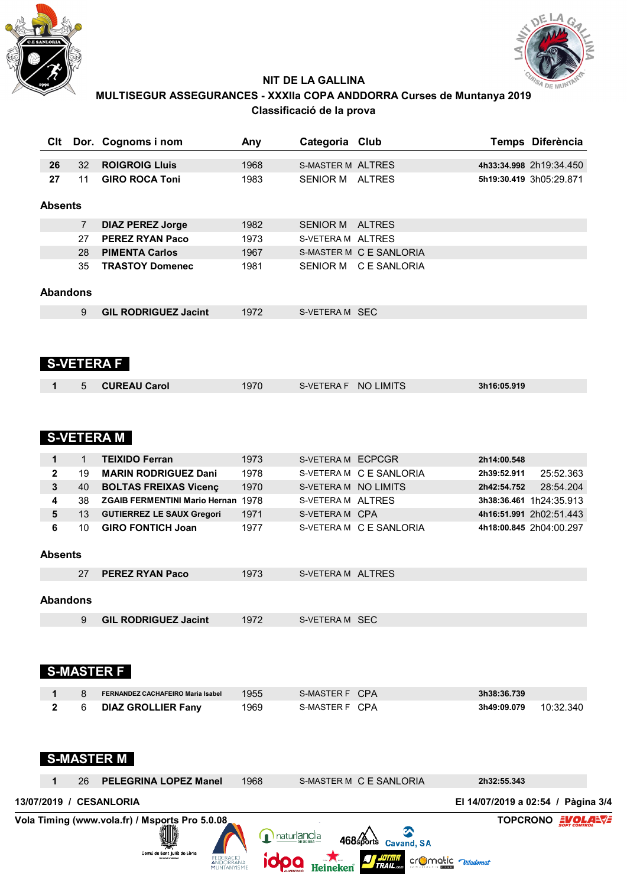



# **NIT DE LA GALLINA MULTISEGUR ASSEGURANCES - XXXIIa COPA ANDDORRA Curses de Muntanya 2019 Classificació de la prova**

| Clt             |                      | Dor. Cognoms i nom                                                            | Any  | Categoria Club           |                         |                                    | Temps Diferència        |
|-----------------|----------------------|-------------------------------------------------------------------------------|------|--------------------------|-------------------------|------------------------------------|-------------------------|
| 26              | 32                   | <b>ROIGROIG LIuis</b>                                                         | 1968 | <b>S-MASTER M ALTRES</b> |                         |                                    | 4h33:34.998 2h19:34.450 |
| 27              | 11                   | <b>GIRO ROCA Toni</b>                                                         | 1983 | SENIOR M ALTRES          |                         |                                    | 5h19:30.419 3h05:29.871 |
| <b>Absents</b>  |                      |                                                                               |      |                          |                         |                                    |                         |
|                 |                      |                                                                               | 1982 | SENIOR M ALTRES          |                         |                                    |                         |
|                 | $\overline{7}$<br>27 | <b>DIAZ PEREZ Jorge</b><br><b>PEREZ RYAN Paco</b>                             | 1973 | S-VETERA M ALTRES        |                         |                                    |                         |
|                 | 28                   | <b>PIMENTA Carlos</b>                                                         | 1967 |                          | S-MASTER M C E SANLORIA |                                    |                         |
|                 | 35                   | <b>TRASTOY Domenec</b>                                                        | 1981 |                          | SENIOR M C E SANLORIA   |                                    |                         |
| <b>Abandons</b> |                      |                                                                               |      |                          |                         |                                    |                         |
|                 | 9                    | <b>GIL RODRIGUEZ Jacint</b>                                                   | 1972 | S-VETERA M SEC           |                         |                                    |                         |
|                 |                      | <b>S-VETERA F</b>                                                             |      |                          |                         |                                    |                         |
| 1               | 5                    | <b>CUREAU Carol</b>                                                           | 1970 | S-VETERA F               | <b>NO LIMITS</b>        | 3h16:05.919                        |                         |
|                 |                      | <b>S-VETERA M</b>                                                             |      |                          |                         |                                    |                         |
| 1               | $\mathbf{1}$         | <b>TEIXIDO Ferran</b>                                                         | 1973 | S-VETERA M ECPCGR        |                         | 2h14:00.548                        |                         |
| $\mathbf 2$     | 19                   | <b>MARIN RODRIGUEZ Dani</b>                                                   | 1978 |                          | S-VETERA M C E SANLORIA | 2h39:52.911                        | 25:52.363               |
| 3               | 40                   | <b>BOLTAS FREIXAS Vicenç</b>                                                  | 1970 | S-VETERA M NO LIMITS     |                         | 2h42:54.752                        | 28:54.204               |
| 4               | 38                   | <b>ZGAIB FERMENTINI Mario Hernan 1978</b>                                     |      | S-VETERA M ALTRES        |                         |                                    | 3h38:36.461 1h24:35.913 |
| 5               | 13                   | <b>GUTIERREZ LE SAUX Gregori</b>                                              | 1971 | S-VETERA M CPA           |                         |                                    | 4h16:51.991 2h02:51.443 |
| 6               | 10                   | <b>GIRO FONTICH Joan</b>                                                      | 1977 |                          | S-VETERA M C E SANLORIA |                                    | 4h18:00.845 2h04:00.297 |
| <b>Absents</b>  |                      |                                                                               |      |                          |                         |                                    |                         |
|                 | 27                   | <b>PEREZ RYAN Paco</b>                                                        | 1973 | S-VETERA M ALTRES        |                         |                                    |                         |
| <b>Abandons</b> |                      |                                                                               |      |                          |                         |                                    |                         |
|                 | 9                    | <b>GIL RODRIGUEZ Jacint</b>                                                   | 1972 | S-VETERA M SEC           |                         |                                    |                         |
|                 |                      | <b>S-MASTER F</b>                                                             |      |                          |                         |                                    |                         |
|                 | 8                    | FERNANDEZ CACHAFEIRO Maria Isabel                                             | 1955 | S-MASTER F CPA           |                         | 3h38:36.739                        |                         |
| 2               | 6                    | <b>DIAZ GROLLIER Fany</b>                                                     | 1969 | S-MASTER F CPA           |                         | 3h49:09.079                        | 10:32.340               |
|                 |                      | <b>S-MASTER M</b>                                                             |      |                          |                         |                                    |                         |
|                 | 26                   | <b>PELEGRINA LOPEZ Manel</b>                                                  | 1968 |                          | S-MASTER M C E SANLORIA | 2h32:55.343                        |                         |
|                 |                      | 13/07/2019 / CESANLORIA                                                       |      |                          |                         | El 14/07/2019 a 02:54 / Pàgina 3/4 |                         |
|                 |                      | Vola Timing (www.vola.fr) / Msports Pro 5.0.08<br>Comú de Sant Julià de Lòria | Ω    | naturlandia              | <b>Cavand, SA</b>       | cromotic wiladomat                 | TOPCRONO EVOLANT        |